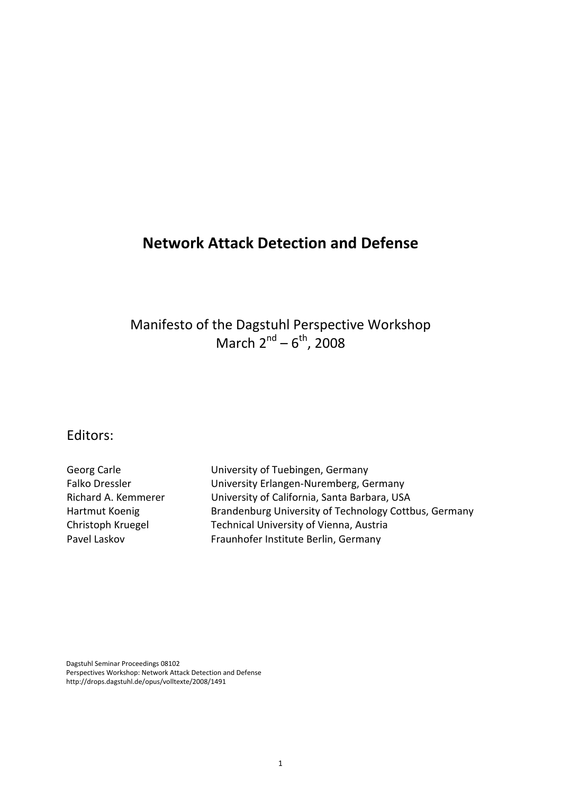## Network Attack Detection and Defense

## Manifesto of the Dagstuhl Perspective Workshop March  $2^{nd}$  –  $6^{th}$ , 2008

## Editors:

Georg Carle University of Tuebingen, Germany Falko Dressler University Erlangen-Nuremberg, Germany Richard A. Kemmerer University of California, Santa Barbara, USA Hartmut Koenig Brandenburg University of Technology Cottbus, Germany Christoph Kruegel Technical University of Vienna, Austria Pavel Laskov Fraunhofer Institute Berlin, Germany

Dagstuhl Seminar Proceedings 08102 Perspectives Workshop: Network Attack Detection and Defense http://drops.dagstuhl.de/opus/volltexte/2008/1491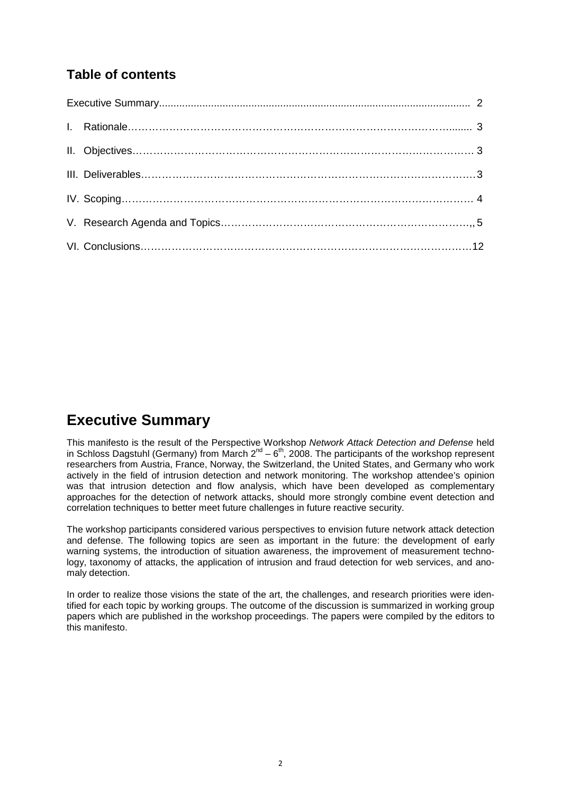## **Table of contents**

# **Executive Summary**

This manifesto is the result of the Perspective Workshop Network Attack Detection and Defense held in Schloss Dagstuhl (Germany) from March  $2^{nd} - 6^{th}$ , 2008. The participants of the workshop represent researchers from Austria, France, Norway, the Switzerland, the United States, and Germany who work actively in the field of intrusion detection and network monitoring. The workshop attendee's opinion was that intrusion detection and flow analysis, which have been developed as complementary approaches for the detection of network attacks, should more strongly combine event detection and correlation techniques to better meet future challenges in future reactive security.

The workshop participants considered various perspectives to envision future network attack detection and defense. The following topics are seen as important in the future: the development of early warning systems, the introduction of situation awareness, the improvement of measurement technology, taxonomy of attacks, the application of intrusion and fraud detection for web services, and anomaly detection.

In order to realize those visions the state of the art, the challenges, and research priorities were identified for each topic by working groups. The outcome of the discussion is summarized in working group papers which are published in the workshop proceedings. The papers were compiled by the editors to this manifesto.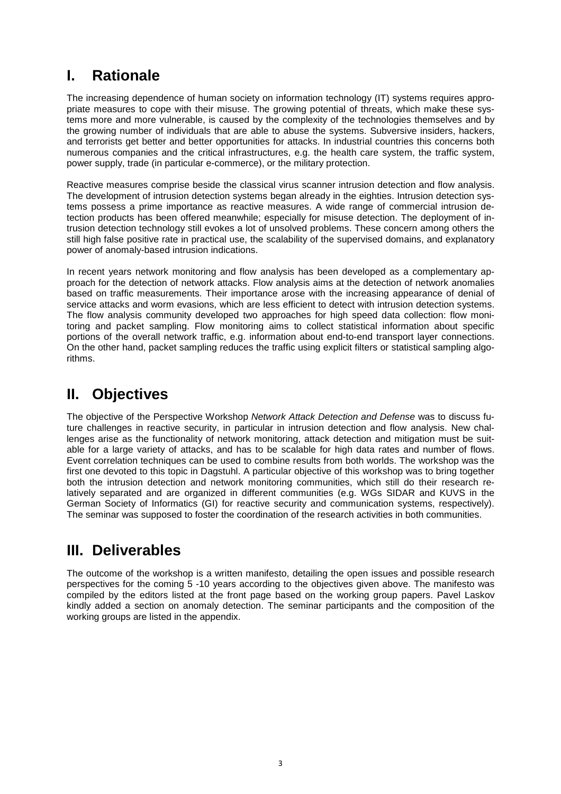# **I. Rationale**

The increasing dependence of human society on information technology (IT) systems requires appropriate measures to cope with their misuse. The growing potential of threats, which make these systems more and more vulnerable, is caused by the complexity of the technologies themselves and by the growing number of individuals that are able to abuse the systems. Subversive insiders, hackers, and terrorists get better and better opportunities for attacks. In industrial countries this concerns both numerous companies and the critical infrastructures, e.g. the health care system, the traffic system, power supply, trade (in particular e-commerce), or the military protection.

Reactive measures comprise beside the classical virus scanner intrusion detection and flow analysis. The development of intrusion detection systems began already in the eighties. Intrusion detection systems possess a prime importance as reactive measures. A wide range of commercial intrusion detection products has been offered meanwhile; especially for misuse detection. The deployment of intrusion detection technology still evokes a lot of unsolved problems. These concern among others the still high false positive rate in practical use, the scalability of the supervised domains, and explanatory power of anomaly-based intrusion indications.

In recent years network monitoring and flow analysis has been developed as a complementary approach for the detection of network attacks. Flow analysis aims at the detection of network anomalies based on traffic measurements. Their importance arose with the increasing appearance of denial of service attacks and worm evasions, which are less efficient to detect with intrusion detection systems. The flow analysis community developed two approaches for high speed data collection: flow monitoring and packet sampling. Flow monitoring aims to collect statistical information about specific portions of the overall network traffic, e.g. information about end-to-end transport layer connections. On the other hand, packet sampling reduces the traffic using explicit filters or statistical sampling algorithms.

# **II. Objectives**

The objective of the Perspective Workshop Network Attack Detection and Defense was to discuss future challenges in reactive security, in particular in intrusion detection and flow analysis. New challenges arise as the functionality of network monitoring, attack detection and mitigation must be suitable for a large variety of attacks, and has to be scalable for high data rates and number of flows. Event correlation techniques can be used to combine results from both worlds. The workshop was the first one devoted to this topic in Dagstuhl. A particular objective of this workshop was to bring together both the intrusion detection and network monitoring communities, which still do their research relatively separated and are organized in different communities (e.g. WGs SIDAR and KUVS in the German Society of Informatics (GI) for reactive security and communication systems, respectively). The seminar was supposed to foster the coordination of the research activities in both communities.

# **III. Deliverables**

The outcome of the workshop is a written manifesto, detailing the open issues and possible research perspectives for the coming 5 -10 years according to the objectives given above. The manifesto was compiled by the editors listed at the front page based on the working group papers. Pavel Laskov kindly added a section on anomaly detection. The seminar participants and the composition of the working groups are listed in the appendix.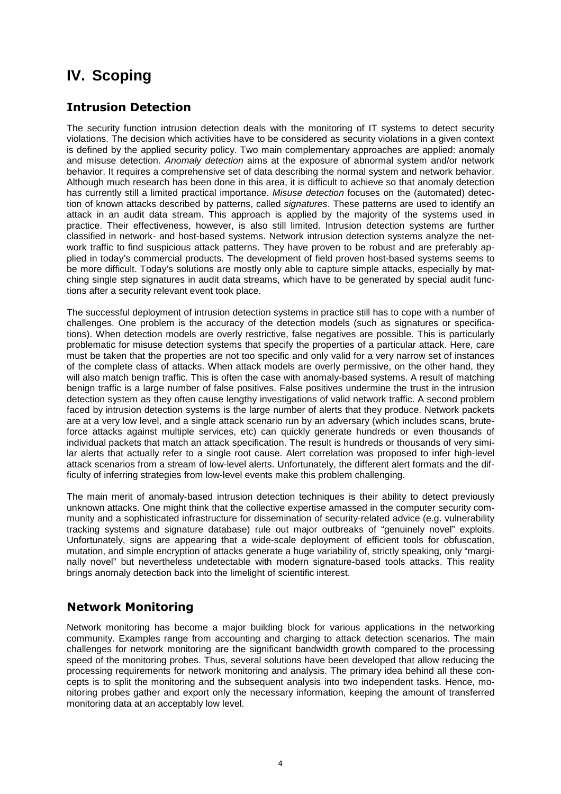# **IV. Scoping**

## Intrusion Detection

The security function intrusion detection deals with the monitoring of IT systems to detect security violations. The decision which activities have to be considered as security violations in a given context is defined by the applied security policy. Two main complementary approaches are applied: anomaly and misuse detection. Anomaly detection aims at the exposure of abnormal system and/or network behavior. It requires a comprehensive set of data describing the normal system and network behavior. Although much research has been done in this area, it is difficult to achieve so that anomaly detection has currently still a limited practical importance. Misuse detection focuses on the (automated) detection of known attacks described by patterns, called *signatures*. These patterns are used to identify an attack in an audit data stream. This approach is applied by the majority of the systems used in practice. Their effectiveness, however, is also still limited. Intrusion detection systems are further classified in network- and host-based systems. Network intrusion detection systems analyze the network traffic to find suspicious attack patterns. They have proven to be robust and are preferably applied in today's commercial products. The development of field proven host-based systems seems to be more difficult. Today's solutions are mostly only able to capture simple attacks, especially by matching single step signatures in audit data streams, which have to be generated by special audit functions after a security relevant event took place.

The successful deployment of intrusion detection systems in practice still has to cope with a number of challenges. One problem is the accuracy of the detection models (such as signatures or specifications). When detection models are overly restrictive, false negatives are possible. This is particularly problematic for misuse detection systems that specify the properties of a particular attack. Here, care must be taken that the properties are not too specific and only valid for a very narrow set of instances of the complete class of attacks. When attack models are overly permissive, on the other hand, they will also match benign traffic. This is often the case with anomaly-based systems. A result of matching benign traffic is a large number of false positives. False positives undermine the trust in the intrusion detection system as they often cause lengthy investigations of valid network traffic. A second problem faced by intrusion detection systems is the large number of alerts that they produce. Network packets are at a very low level, and a single attack scenario run by an adversary (which includes scans, bruteforce attacks against multiple services, etc) can quickly generate hundreds or even thousands of individual packets that match an attack specification. The result is hundreds or thousands of very similar alerts that actually refer to a single root cause. Alert correlation was proposed to infer high-level attack scenarios from a stream of low-level alerts. Unfortunately, the different alert formats and the difficulty of inferring strategies from low-level events make this problem challenging.

The main merit of anomaly-based intrusion detection techniques is their ability to detect previously unknown attacks. One might think that the collective expertise amassed in the computer security community and a sophisticated infrastructure for dissemination of security-related advice (e.g. vulnerability tracking systems and signature database) rule out major outbreaks of "genuinely novel" exploits. Unfortunately, signs are appearing that a wide-scale deployment of efficient tools for obfuscation, mutation, and simple encryption of attacks generate a huge variability of, strictly speaking, only "marginally novel" but nevertheless undetectable with modern signature-based tools attacks. This reality brings anomaly detection back into the limelight of scientific interest.

### Network Monitoring

Network monitoring has become a major building block for various applications in the networking community. Examples range from accounting and charging to attack detection scenarios. The main challenges for network monitoring are the significant bandwidth growth compared to the processing speed of the monitoring probes. Thus, several solutions have been developed that allow reducing the processing requirements for network monitoring and analysis. The primary idea behind all these concepts is to split the monitoring and the subsequent analysis into two independent tasks. Hence, monitoring probes gather and export only the necessary information, keeping the amount of transferred monitoring data at an acceptably low level.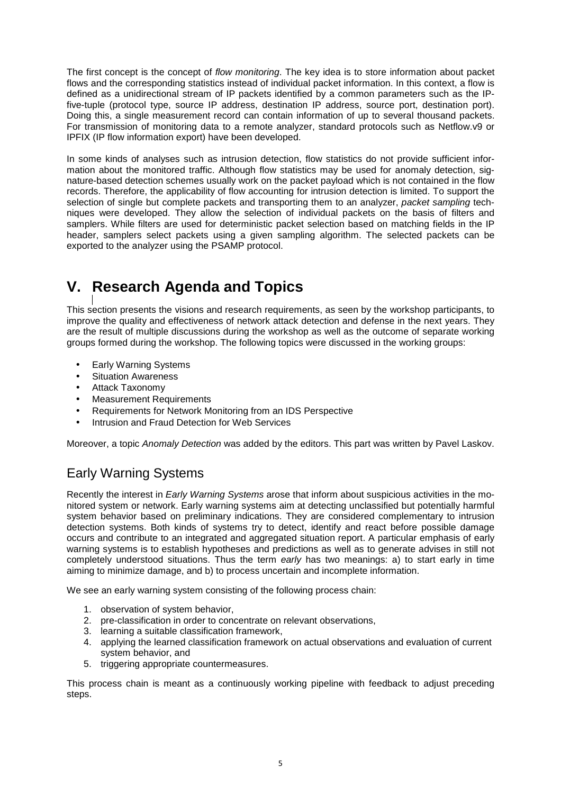The first concept is the concept of flow monitoring. The key idea is to store information about packet flows and the corresponding statistics instead of individual packet information. In this context, a flow is defined as a unidirectional stream of IP packets identified by a common parameters such as the IPfive-tuple (protocol type, source IP address, destination IP address, source port, destination port). Doing this, a single measurement record can contain information of up to several thousand packets. For transmission of monitoring data to a remote analyzer, standard protocols such as Netflow.v9 or IPFIX (IP flow information export) have been developed.

In some kinds of analyses such as intrusion detection, flow statistics do not provide sufficient information about the monitored traffic. Although flow statistics may be used for anomaly detection, signature-based detection schemes usually work on the packet payload which is not contained in the flow records. Therefore, the applicability of flow accounting for intrusion detection is limited. To support the selection of single but complete packets and transporting them to an analyzer, packet sampling techniques were developed. They allow the selection of individual packets on the basis of filters and samplers. While filters are used for deterministic packet selection based on matching fields in the IP header, samplers select packets using a given sampling algorithm. The selected packets can be exported to the analyzer using the PSAMP protocol.

# **V. Research Agenda and Topics**

This section presents the visions and research requirements, as seen by the workshop participants, to improve the quality and effectiveness of network attack detection and defense in the next years. They are the result of multiple discussions during the workshop as well as the outcome of separate working groups formed during the workshop. The following topics were discussed in the working groups:

- Early Warning Systems
- **Situation Awareness**
- Attack Taxonomy
- Measurement Requirements
- Requirements for Network Monitoring from an IDS Perspective
- Intrusion and Fraud Detection for Web Services

Moreover, a topic Anomaly Detection was added by the editors. This part was written by Pavel Laskov.

## Early Warning Systems

Recently the interest in *Early Warning Systems* arose that inform about suspicious activities in the monitored system or network. Early warning systems aim at detecting unclassified but potentially harmful system behavior based on preliminary indications. They are considered complementary to intrusion detection systems. Both kinds of systems try to detect, identify and react before possible damage occurs and contribute to an integrated and aggregated situation report. A particular emphasis of early warning systems is to establish hypotheses and predictions as well as to generate advises in still not completely understood situations. Thus the term early has two meanings: a) to start early in time aiming to minimize damage, and b) to process uncertain and incomplete information.

We see an early warning system consisting of the following process chain:

- 1. observation of system behavior,
- 2. pre-classification in order to concentrate on relevant observations,
- 3. learning a suitable classification framework,
- 4. applying the learned classification framework on actual observations and evaluation of current system behavior, and
- 5. triggering appropriate countermeasures.

This process chain is meant as a continuously working pipeline with feedback to adjust preceding steps.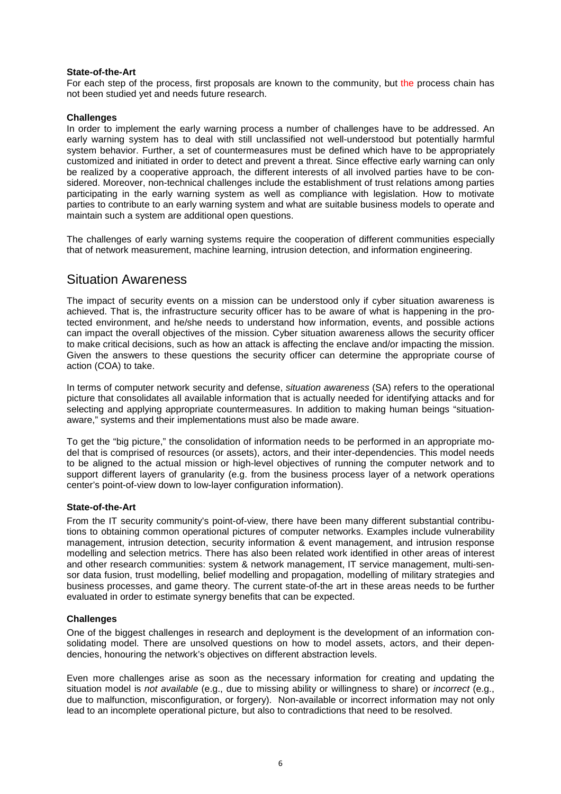#### **State-of-the-Art**

For each step of the process, first proposals are known to the community, but the process chain has not been studied yet and needs future research.

#### **Challenges**

In order to implement the early warning process a number of challenges have to be addressed. An early warning system has to deal with still unclassified not well-understood but potentially harmful system behavior. Further, a set of countermeasures must be defined which have to be appropriately customized and initiated in order to detect and prevent a threat. Since effective early warning can only be realized by a cooperative approach, the different interests of all involved parties have to be considered. Moreover, non-technical challenges include the establishment of trust relations among parties participating in the early warning system as well as compliance with legislation. How to motivate parties to contribute to an early warning system and what are suitable business models to operate and maintain such a system are additional open questions.

The challenges of early warning systems require the cooperation of different communities especially that of network measurement, machine learning, intrusion detection, and information engineering.

#### Situation Awareness

The impact of security events on a mission can be understood only if cyber situation awareness is achieved. That is, the infrastructure security officer has to be aware of what is happening in the protected environment, and he/she needs to understand how information, events, and possible actions can impact the overall objectives of the mission. Cyber situation awareness allows the security officer to make critical decisions, such as how an attack is affecting the enclave and/or impacting the mission. Given the answers to these questions the security officer can determine the appropriate course of action (COA) to take.

In terms of computer network security and defense, situation awareness (SA) refers to the operational picture that consolidates all available information that is actually needed for identifying attacks and for selecting and applying appropriate countermeasures. In addition to making human beings "situationaware," systems and their implementations must also be made aware.

To get the "big picture," the consolidation of information needs to be performed in an appropriate model that is comprised of resources (or assets), actors, and their inter-dependencies. This model needs to be aligned to the actual mission or high-level objectives of running the computer network and to support different layers of granularity (e.g. from the business process layer of a network operations center's point-of-view down to low-layer configuration information).

#### **State-of-the-Art**

From the IT security community's point-of-view, there have been many different substantial contributions to obtaining common operational pictures of computer networks. Examples include vulnerability management, intrusion detection, security information & event management, and intrusion response modelling and selection metrics. There has also been related work identified in other areas of interest and other research communities: system & network management, IT service management, multi-sensor data fusion, trust modelling, belief modelling and propagation, modelling of military strategies and business processes, and game theory. The current state-of-the art in these areas needs to be further evaluated in order to estimate synergy benefits that can be expected.

#### **Challenges**

One of the biggest challenges in research and deployment is the development of an information consolidating model. There are unsolved questions on how to model assets, actors, and their dependencies, honouring the network's objectives on different abstraction levels.

Even more challenges arise as soon as the necessary information for creating and updating the situation model is not available (e.g., due to missing ability or willingness to share) or *incorrect* (e.g., due to malfunction, misconfiguration, or forgery). Non-available or incorrect information may not only lead to an incomplete operational picture, but also to contradictions that need to be resolved.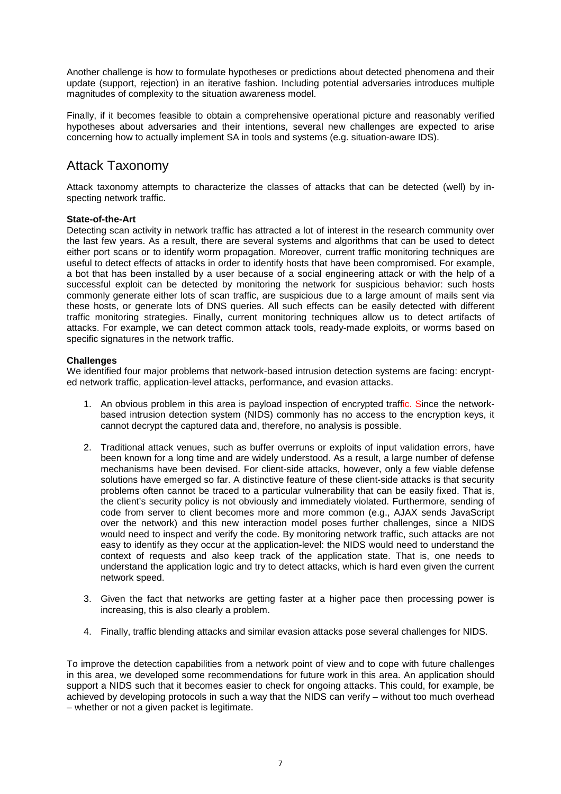Another challenge is how to formulate hypotheses or predictions about detected phenomena and their update (support, rejection) in an iterative fashion. Including potential adversaries introduces multiple magnitudes of complexity to the situation awareness model.

Finally, if it becomes feasible to obtain a comprehensive operational picture and reasonably verified hypotheses about adversaries and their intentions, several new challenges are expected to arise concerning how to actually implement SA in tools and systems (e.g. situation-aware IDS).

## Attack Taxonomy

Attack taxonomy attempts to characterize the classes of attacks that can be detected (well) by inspecting network traffic.

#### **State-of-the-Art**

Detecting scan activity in network traffic has attracted a lot of interest in the research community over the last few years. As a result, there are several systems and algorithms that can be used to detect either port scans or to identify worm propagation. Moreover, current traffic monitoring techniques are useful to detect effects of attacks in order to identify hosts that have been compromised. For example, a bot that has been installed by a user because of a social engineering attack or with the help of a successful exploit can be detected by monitoring the network for suspicious behavior: such hosts commonly generate either lots of scan traffic, are suspicious due to a large amount of mails sent via these hosts, or generate lots of DNS queries. All such effects can be easily detected with different traffic monitoring strategies. Finally, current monitoring techniques allow us to detect artifacts of attacks. For example, we can detect common attack tools, ready-made exploits, or worms based on specific signatures in the network traffic.

#### **Challenges**

We identified four major problems that network-based intrusion detection systems are facing: encrypted network traffic, application-level attacks, performance, and evasion attacks.

- 1. An obvious problem in this area is payload inspection of encrypted traffic. Since the networkbased intrusion detection system (NIDS) commonly has no access to the encryption keys, it cannot decrypt the captured data and, therefore, no analysis is possible.
- 2. Traditional attack venues, such as buffer overruns or exploits of input validation errors, have been known for a long time and are widely understood. As a result, a large number of defense mechanisms have been devised. For client-side attacks, however, only a few viable defense solutions have emerged so far. A distinctive feature of these client-side attacks is that security problems often cannot be traced to a particular vulnerability that can be easily fixed. That is, the client's security policy is not obviously and immediately violated. Furthermore, sending of code from server to client becomes more and more common (e.g., AJAX sends JavaScript over the network) and this new interaction model poses further challenges, since a NIDS would need to inspect and verify the code. By monitoring network traffic, such attacks are not easy to identify as they occur at the application-level: the NIDS would need to understand the context of requests and also keep track of the application state. That is, one needs to understand the application logic and try to detect attacks, which is hard even given the current network speed.
- 3. Given the fact that networks are getting faster at a higher pace then processing power is increasing, this is also clearly a problem.
- 4. Finally, traffic blending attacks and similar evasion attacks pose several challenges for NIDS.

To improve the detection capabilities from a network point of view and to cope with future challenges in this area, we developed some recommendations for future work in this area. An application should support a NIDS such that it becomes easier to check for ongoing attacks. This could, for example, be achieved by developing protocols in such a way that the NIDS can verify – without too much overhead  $-$  whether or not a given packet is legitimate.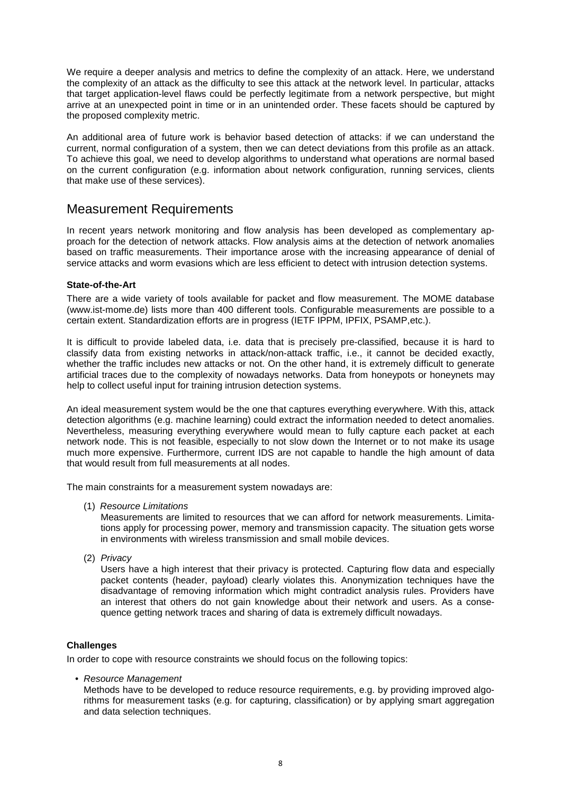We require a deeper analysis and metrics to define the complexity of an attack. Here, we understand the complexity of an attack as the difficulty to see this attack at the network level. In particular, attacks that target application-level flaws could be perfectly legitimate from a network perspective, but might arrive at an unexpected point in time or in an unintended order. These facets should be captured by the proposed complexity metric.

An additional area of future work is behavior based detection of attacks: if we can understand the current, normal configuration of a system, then we can detect deviations from this profile as an attack. To achieve this goal, we need to develop algorithms to understand what operations are normal based on the current configuration (e.g. information about network configuration, running services, clients that make use of these services).

### Measurement Requirements

In recent years network monitoring and flow analysis has been developed as complementary approach for the detection of network attacks. Flow analysis aims at the detection of network anomalies based on traffic measurements. Their importance arose with the increasing appearance of denial of service attacks and worm evasions which are less efficient to detect with intrusion detection systems.

#### **State-of-the-Art**

There are a wide variety of tools available for packet and flow measurement. The MOME database (www.ist-mome.de) lists more than 400 different tools. Configurable measurements are possible to a certain extent. Standardization efforts are in progress (IETF IPPM, IPFIX, PSAMP,etc.).

It is difficult to provide labeled data, i.e. data that is precisely pre-classified, because it is hard to classify data from existing networks in attack/non-attack traffic, i.e., it cannot be decided exactly, whether the traffic includes new attacks or not. On the other hand, it is extremely difficult to generate artificial traces due to the complexity of nowadays networks. Data from honeypots or honeynets may help to collect useful input for training intrusion detection systems.

An ideal measurement system would be the one that captures everything everywhere. With this, attack detection algorithms (e.g. machine learning) could extract the information needed to detect anomalies. Nevertheless, measuring everything everywhere would mean to fully capture each packet at each network node. This is not feasible, especially to not slow down the Internet or to not make its usage much more expensive. Furthermore, current IDS are not capable to handle the high amount of data that would result from full measurements at all nodes.

The main constraints for a measurement system nowadays are:

(1) Resource Limitations

 Measurements are limited to resources that we can afford for network measurements. Limitations apply for processing power, memory and transmission capacity. The situation gets worse in environments with wireless transmission and small mobile devices.

(2) Privacy

 Users have a high interest that their privacy is protected. Capturing flow data and especially packet contents (header, payload) clearly violates this. Anonymization techniques have the disadvantage of removing information which might contradict analysis rules. Providers have an interest that others do not gain knowledge about their network and users. As a consequence getting network traces and sharing of data is extremely difficult nowadays.

#### **Challenges**

In order to cope with resource constraints we should focus on the following topics:

• Resource Management

Methods have to be developed to reduce resource requirements, e.g. by providing improved algorithms for measurement tasks (e.g. for capturing, classification) or by applying smart aggregation and data selection techniques.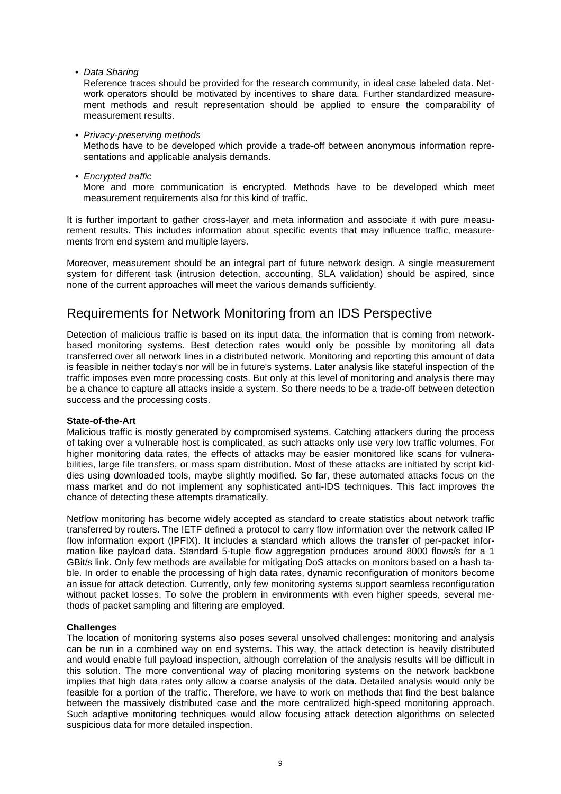• Data Sharing

Reference traces should be provided for the research community, in ideal case labeled data. Network operators should be motivated by incentives to share data. Further standardized measurement methods and result representation should be applied to ensure the comparability of measurement results.

- Privacy-preserving methods Methods have to be developed which provide a trade-off between anonymous information representations and applicable analysis demands.
- Encrypted traffic

 More and more communication is encrypted. Methods have to be developed which meet measurement requirements also for this kind of traffic.

It is further important to gather cross-layer and meta information and associate it with pure measurement results. This includes information about specific events that may influence traffic, measurements from end system and multiple layers.

Moreover, measurement should be an integral part of future network design. A single measurement system for different task (intrusion detection, accounting, SLA validation) should be aspired, since none of the current approaches will meet the various demands sufficiently.

## Requirements for Network Monitoring from an IDS Perspective

Detection of malicious traffic is based on its input data, the information that is coming from networkbased monitoring systems. Best detection rates would only be possible by monitoring all data transferred over all network lines in a distributed network. Monitoring and reporting this amount of data is feasible in neither today's nor will be in future's systems. Later analysis like stateful inspection of the traffic imposes even more processing costs. But only at this level of monitoring and analysis there may be a chance to capture all attacks inside a system. So there needs to be a trade-off between detection success and the processing costs.

#### **State-of-the-Art**

Malicious traffic is mostly generated by compromised systems. Catching attackers during the process of taking over a vulnerable host is complicated, as such attacks only use very low traffic volumes. For higher monitoring data rates, the effects of attacks may be easier monitored like scans for vulnerabilities, large file transfers, or mass spam distribution. Most of these attacks are initiated by script kiddies using downloaded tools, maybe slightly modified. So far, these automated attacks focus on the mass market and do not implement any sophisticated anti-IDS techniques. This fact improves the chance of detecting these attempts dramatically.

Netflow monitoring has become widely accepted as standard to create statistics about network traffic transferred by routers. The IETF defined a protocol to carry flow information over the network called IP flow information export (IPFIX). It includes a standard which allows the transfer of per-packet information like payload data. Standard 5-tuple flow aggregation produces around 8000 flows/s for a 1 GBit/s link. Only few methods are available for mitigating DoS attacks on monitors based on a hash table. In order to enable the processing of high data rates, dynamic reconfiguration of monitors become an issue for attack detection. Currently, only few monitoring systems support seamless reconfiguration without packet losses. To solve the problem in environments with even higher speeds, several methods of packet sampling and filtering are employed.

#### **Challenges**

The location of monitoring systems also poses several unsolved challenges: monitoring and analysis can be run in a combined way on end systems. This way, the attack detection is heavily distributed and would enable full payload inspection, although correlation of the analysis results will be difficult in this solution. The more conventional way of placing monitoring systems on the network backbone implies that high data rates only allow a coarse analysis of the data. Detailed analysis would only be feasible for a portion of the traffic. Therefore, we have to work on methods that find the best balance between the massively distributed case and the more centralized high-speed monitoring approach. Such adaptive monitoring techniques would allow focusing attack detection algorithms on selected suspicious data for more detailed inspection.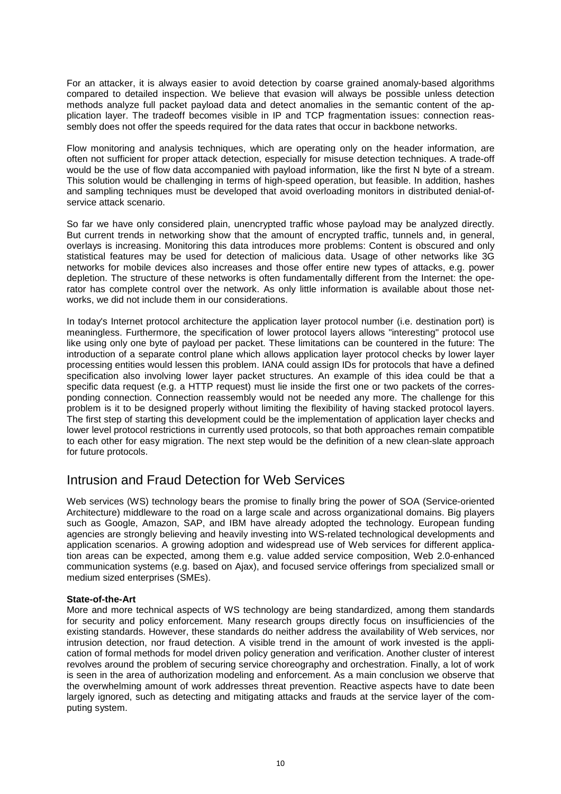For an attacker, it is always easier to avoid detection by coarse grained anomaly-based algorithms compared to detailed inspection. We believe that evasion will always be possible unless detection methods analyze full packet payload data and detect anomalies in the semantic content of the application layer. The tradeoff becomes visible in IP and TCP fragmentation issues: connection reassembly does not offer the speeds required for the data rates that occur in backbone networks.

Flow monitoring and analysis techniques, which are operating only on the header information, are often not sufficient for proper attack detection, especially for misuse detection techniques. A trade-off would be the use of flow data accompanied with payload information, like the first N byte of a stream. This solution would be challenging in terms of high-speed operation, but feasible. In addition, hashes and sampling techniques must be developed that avoid overloading monitors in distributed denial-ofservice attack scenario.

So far we have only considered plain, unencrypted traffic whose payload may be analyzed directly. But current trends in networking show that the amount of encrypted traffic, tunnels and, in general, overlays is increasing. Monitoring this data introduces more problems: Content is obscured and only statistical features may be used for detection of malicious data. Usage of other networks like 3G networks for mobile devices also increases and those offer entire new types of attacks, e.g. power depletion. The structure of these networks is often fundamentally different from the Internet: the operator has complete control over the network. As only little information is available about those networks, we did not include them in our considerations.

In today's Internet protocol architecture the application layer protocol number (i.e. destination port) is meaningless. Furthermore, the specification of lower protocol layers allows "interesting" protocol use like using only one byte of payload per packet. These limitations can be countered in the future: The introduction of a separate control plane which allows application layer protocol checks by lower layer processing entities would lessen this problem. IANA could assign IDs for protocols that have a defined specification also involving lower layer packet structures. An example of this idea could be that a specific data request (e.g. a HTTP request) must lie inside the first one or two packets of the corresponding connection. Connection reassembly would not be needed any more. The challenge for this problem is it to be designed properly without limiting the flexibility of having stacked protocol layers. The first step of starting this development could be the implementation of application layer checks and lower level protocol restrictions in currently used protocols, so that both approaches remain compatible to each other for easy migration. The next step would be the definition of a new clean-slate approach for future protocols.

## Intrusion and Fraud Detection for Web Services

Web services (WS) technology bears the promise to finally bring the power of SOA (Service-oriented Architecture) middleware to the road on a large scale and across organizational domains. Big players such as Google, Amazon, SAP, and IBM have already adopted the technology. European funding agencies are strongly believing and heavily investing into WS-related technological developments and application scenarios. A growing adoption and widespread use of Web services for different application areas can be expected, among them e.g. value added service composition, Web 2.0-enhanced communication systems (e.g. based on Ajax), and focused service offerings from specialized small or medium sized enterprises (SMEs).

#### **State-of-the-Art**

More and more technical aspects of WS technology are being standardized, among them standards for security and policy enforcement. Many research groups directly focus on insufficiencies of the existing standards. However, these standards do neither address the availability of Web services, nor intrusion detection, nor fraud detection. A visible trend in the amount of work invested is the application of formal methods for model driven policy generation and verification. Another cluster of interest revolves around the problem of securing service choreography and orchestration. Finally, a lot of work is seen in the area of authorization modeling and enforcement. As a main conclusion we observe that the overwhelming amount of work addresses threat prevention. Reactive aspects have to date been largely ignored, such as detecting and mitigating attacks and frauds at the service layer of the computing system.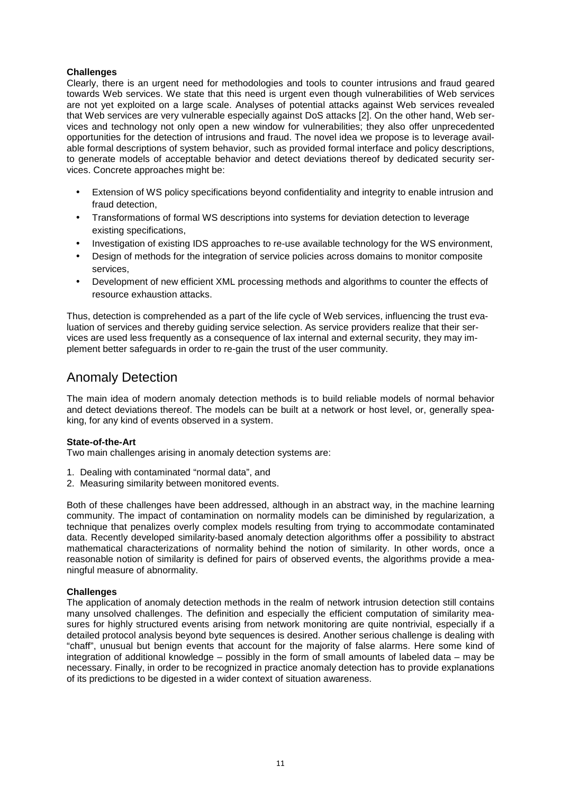#### **Challenges**

Clearly, there is an urgent need for methodologies and tools to counter intrusions and fraud geared towards Web services. We state that this need is urgent even though vulnerabilities of Web services are not yet exploited on a large scale. Analyses of potential attacks against Web services revealed that Web services are very vulnerable especially against DoS attacks [2]. On the other hand, Web services and technology not only open a new window for vulnerabilities; they also offer unprecedented opportunities for the detection of intrusions and fraud. The novel idea we propose is to leverage available formal descriptions of system behavior, such as provided formal interface and policy descriptions, to generate models of acceptable behavior and detect deviations thereof by dedicated security services. Concrete approaches might be:

- Extension of WS policy specifications beyond confidentiality and integrity to enable intrusion and fraud detection,
- Transformations of formal WS descriptions into systems for deviation detection to leverage existing specifications,
- Investigation of existing IDS approaches to re-use available technology for the WS environment,
- Design of methods for the integration of service policies across domains to monitor composite services,
- Development of new efficient XML processing methods and algorithms to counter the effects of resource exhaustion attacks.

Thus, detection is comprehended as a part of the life cycle of Web services, influencing the trust evaluation of services and thereby guiding service selection. As service providers realize that their services are used less frequently as a consequence of lax internal and external security, they may implement better safeguards in order to re-gain the trust of the user community.

### Anomaly Detection

The main idea of modern anomaly detection methods is to build reliable models of normal behavior and detect deviations thereof. The models can be built at a network or host level, or, generally speaking, for any kind of events observed in a system.

#### **State-of-the-Art**

Two main challenges arising in anomaly detection systems are:

- 1. Dealing with contaminated "normal data", and
- 2. Measuring similarity between monitored events.

Both of these challenges have been addressed, although in an abstract way, in the machine learning community. The impact of contamination on normality models can be diminished by regularization, a technique that penalizes overly complex models resulting from trying to accommodate contaminated data. Recently developed similarity-based anomaly detection algorithms offer a possibility to abstract mathematical characterizations of normality behind the notion of similarity. In other words, once a reasonable notion of similarity is defined for pairs of observed events, the algorithms provide a meaningful measure of abnormality.

#### **Challenges**

The application of anomaly detection methods in the realm of network intrusion detection still contains many unsolved challenges. The definition and especially the efficient computation of similarity measures for highly structured events arising from network monitoring are quite nontrivial, especially if a detailed protocol analysis beyond byte sequences is desired. Another serious challenge is dealing with "chaff", unusual but benign events that account for the majority of false alarms. Here some kind of integration of additional knowledge – possibly in the form of small amounts of labeled data – may be necessary. Finally, in order to be recognized in practice anomaly detection has to provide explanations of its predictions to be digested in a wider context of situation awareness.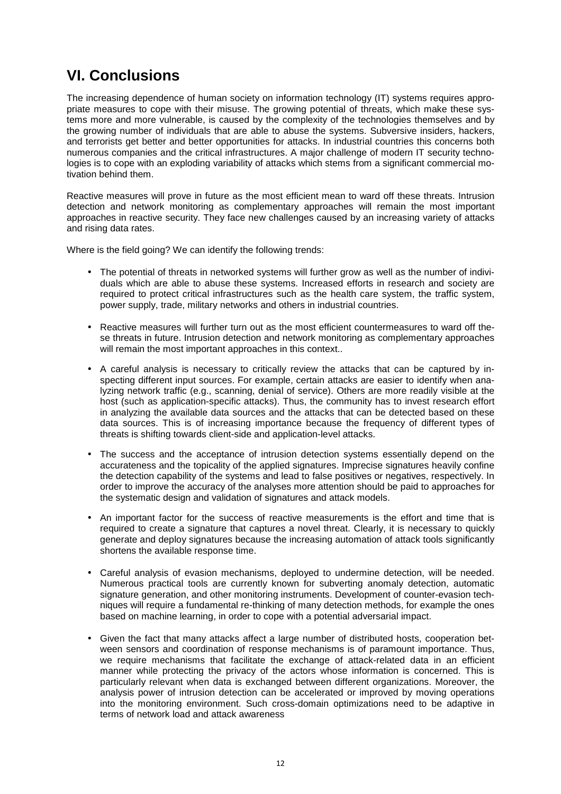# **VI. Conclusions**

The increasing dependence of human society on information technology (IT) systems requires appropriate measures to cope with their misuse. The growing potential of threats, which make these systems more and more vulnerable, is caused by the complexity of the technologies themselves and by the growing number of individuals that are able to abuse the systems. Subversive insiders, hackers, and terrorists get better and better opportunities for attacks. In industrial countries this concerns both numerous companies and the critical infrastructures. A major challenge of modern IT security technologies is to cope with an exploding variability of attacks which stems from a significant commercial motivation behind them.

Reactive measures will prove in future as the most efficient mean to ward off these threats. Intrusion detection and network monitoring as complementary approaches will remain the most important approaches in reactive security. They face new challenges caused by an increasing variety of attacks and rising data rates.

Where is the field going? We can identify the following trends:

- The potential of threats in networked systems will further grow as well as the number of individuals which are able to abuse these systems. Increased efforts in research and society are required to protect critical infrastructures such as the health care system, the traffic system, power supply, trade, military networks and others in industrial countries.
- Reactive measures will further turn out as the most efficient countermeasures to ward off these threats in future. Intrusion detection and network monitoring as complementary approaches will remain the most important approaches in this context..
- A careful analysis is necessary to critically review the attacks that can be captured by inspecting different input sources. For example, certain attacks are easier to identify when analyzing network traffic (e.g., scanning, denial of service). Others are more readily visible at the host (such as application-specific attacks). Thus, the community has to invest research effort in analyzing the available data sources and the attacks that can be detected based on these data sources. This is of increasing importance because the frequency of different types of threats is shifting towards client-side and application-level attacks.
- The success and the acceptance of intrusion detection systems essentially depend on the accurateness and the topicality of the applied signatures. Imprecise signatures heavily confine the detection capability of the systems and lead to false positives or negatives, respectively. In order to improve the accuracy of the analyses more attention should be paid to approaches for the systematic design and validation of signatures and attack models.
- An important factor for the success of reactive measurements is the effort and time that is required to create a signature that captures a novel threat. Clearly, it is necessary to quickly generate and deploy signatures because the increasing automation of attack tools significantly shortens the available response time.
- Careful analysis of evasion mechanisms, deployed to undermine detection, will be needed. Numerous practical tools are currently known for subverting anomaly detection, automatic signature generation, and other monitoring instruments. Development of counter-evasion techniques will require a fundamental re-thinking of many detection methods, for example the ones based on machine learning, in order to cope with a potential adversarial impact.
- Given the fact that many attacks affect a large number of distributed hosts, cooperation between sensors and coordination of response mechanisms is of paramount importance. Thus, we require mechanisms that facilitate the exchange of attack-related data in an efficient manner while protecting the privacy of the actors whose information is concerned. This is particularly relevant when data is exchanged between different organizations. Moreover, the analysis power of intrusion detection can be accelerated or improved by moving operations into the monitoring environment. Such cross-domain optimizations need to be adaptive in terms of network load and attack awareness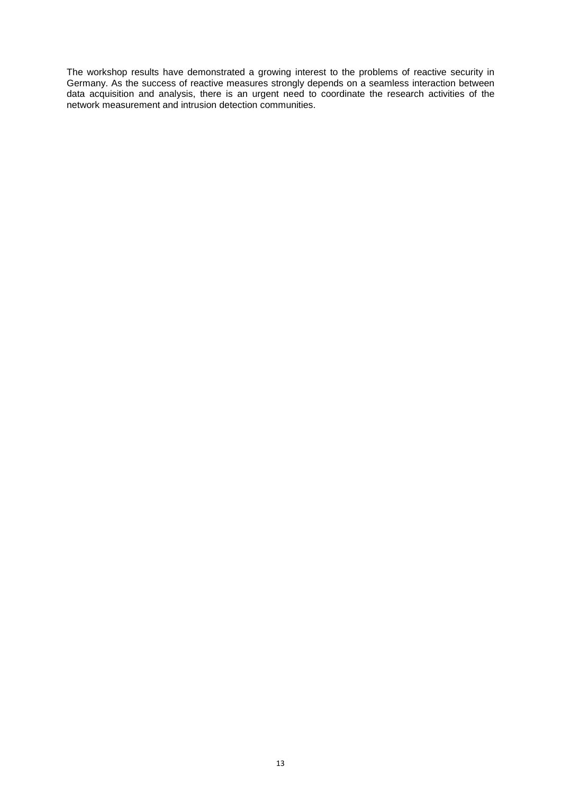The workshop results have demonstrated a growing interest to the problems of reactive security in Germany. As the success of reactive measures strongly depends on a seamless interaction between data acquisition and analysis, there is an urgent need to coordinate the research activities of the network measurement and intrusion detection communities.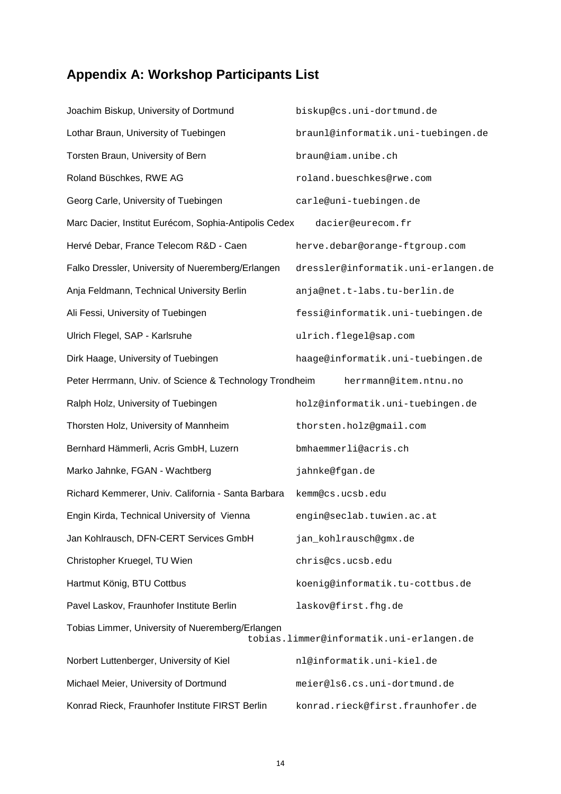# **Appendix A: Workshop Participants List**

| Joachim Biskup, University of Dortmund                                                       | biskup@cs.uni-dortmund.de           |  |  |  |
|----------------------------------------------------------------------------------------------|-------------------------------------|--|--|--|
| Lothar Braun, University of Tuebingen                                                        | braunl@informatik.uni-tuebingen.de  |  |  |  |
| Torsten Braun, University of Bern                                                            | braun@iam.unibe.ch                  |  |  |  |
| Roland Büschkes, RWE AG                                                                      | roland.bueschkes@rwe.com            |  |  |  |
| Georg Carle, University of Tuebingen                                                         | carle@uni-tuebingen.de              |  |  |  |
| Marc Dacier, Institut Eurécom, Sophia-Antipolis Cedex                                        | dacier@eurecom.fr                   |  |  |  |
| Hervé Debar, France Telecom R&D - Caen                                                       | herve.debar@orange-ftgroup.com      |  |  |  |
| Falko Dressler, University of Nueremberg/Erlangen                                            | dressler@informatik.uni-erlangen.de |  |  |  |
| Anja Feldmann, Technical University Berlin                                                   | anja@net.t-labs.tu-berlin.de        |  |  |  |
| Ali Fessi, University of Tuebingen                                                           | fessi@informatik.uni-tuebingen.de   |  |  |  |
| Ulrich Flegel, SAP - Karlsruhe                                                               | ulrich.flegel@sap.com               |  |  |  |
| Dirk Haage, University of Tuebingen                                                          | haage@informatik.uni-tuebingen.de   |  |  |  |
| Peter Herrmann, Univ. of Science & Technology Trondheim<br>herrmann@item.ntnu.no             |                                     |  |  |  |
| Ralph Holz, University of Tuebingen                                                          | holz@informatik.uni-tuebingen.de    |  |  |  |
| Thorsten Holz, University of Mannheim                                                        | thorsten.holz@gmail.com             |  |  |  |
| Bernhard Hämmerli, Acris GmbH, Luzern                                                        | bmhaemmerli@acris.ch                |  |  |  |
| Marko Jahnke, FGAN - Wachtberg                                                               | jahnke@fgan.de                      |  |  |  |
| Richard Kemmerer, Univ. California - Santa Barbara                                           | kemm@cs.ucsb.edu                    |  |  |  |
| Engin Kirda, Technical University of Vienna                                                  | engin@seclab.tuwien.ac.at           |  |  |  |
| Jan Kohlrausch, DFN-CERT Services GmbH                                                       | jan_kohlrausch@gmx.de               |  |  |  |
| Christopher Kruegel, TU Wien                                                                 | chris@cs.ucsb.edu                   |  |  |  |
| Hartmut König, BTU Cottbus                                                                   | koenig@informatik.tu-cottbus.de     |  |  |  |
| Pavel Laskov, Fraunhofer Institute Berlin                                                    | laskov@first.fhg.de                 |  |  |  |
| Tobias Limmer, University of Nueremberg/Erlangen<br>tobias.limmer@informatik.uni-erlangen.de |                                     |  |  |  |
| Norbert Luttenberger, University of Kiel                                                     | nl@informatik.uni-kiel.de           |  |  |  |
| Michael Meier, University of Dortmund                                                        | meier@ls6.cs.uni-dortmund.de        |  |  |  |
| Konrad Rieck, Fraunhofer Institute FIRST Berlin                                              | konrad.rieck@first.fraunhofer.de    |  |  |  |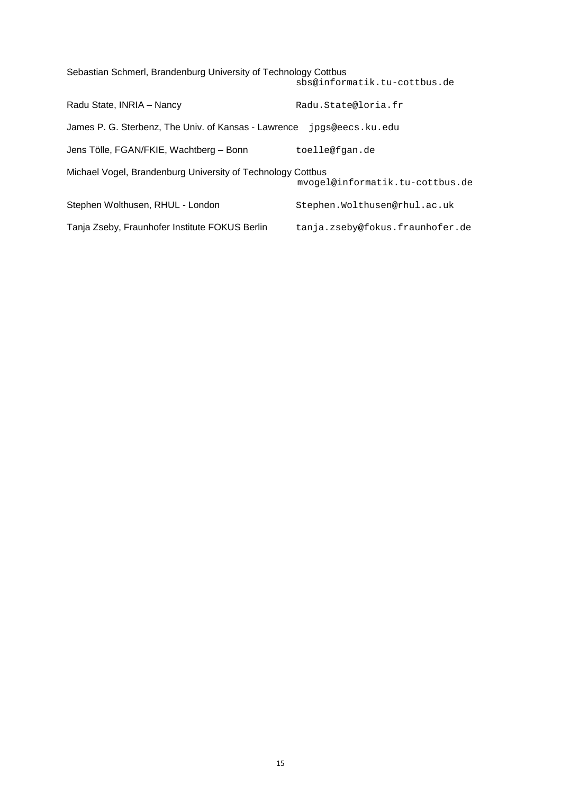| Sebastian Schmerl, Brandenburg University of Technology Cottbus                                | sbs@informatik.tu-cottbus.de    |  |  |
|------------------------------------------------------------------------------------------------|---------------------------------|--|--|
| Radu State, INRIA - Nancy                                                                      | Radu.State@loria.fr             |  |  |
| James P. G. Sterbenz, The Univ. of Kansas - Lawrence<br>jpgs@eecs.ku.edu                       |                                 |  |  |
| Jens Tölle, FGAN/FKIE, Wachtberg - Bonn                                                        | toelle@fqan.de                  |  |  |
| Michael Vogel, Brandenburg University of Technology Cottbus<br>mvogel@informatik.tu-cottbus.de |                                 |  |  |
| Stephen Wolthusen, RHUL - London                                                               | Stephen.Wolthusen@rhul.ac.uk    |  |  |
| Tanja Zseby, Fraunhofer Institute FOKUS Berlin                                                 | tanja.zseby@fokus.fraunhofer.de |  |  |